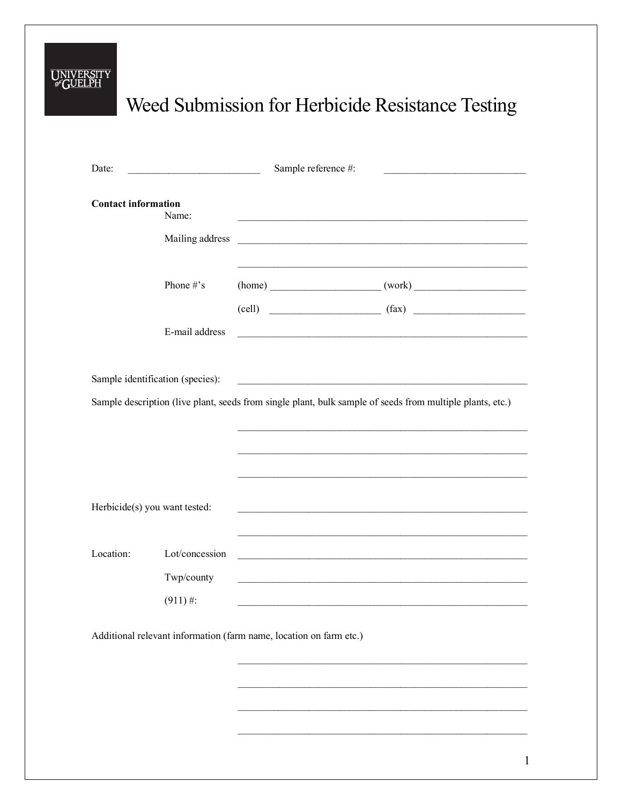## UNIVERSITY

## Weed Submission for Herbicide Resistance Testing

| Date:                                                              |                                  | Sample reference #:                                                                                       | the control of the control of the control of the control of the control of                                            |  |  |
|--------------------------------------------------------------------|----------------------------------|-----------------------------------------------------------------------------------------------------------|-----------------------------------------------------------------------------------------------------------------------|--|--|
| <b>Contact information</b>                                         | Name:                            |                                                                                                           |                                                                                                                       |  |  |
|                                                                    | Mailing address                  |                                                                                                           | <u> 1989 - Johann Harry Harry Harry Harry Harry Harry Harry Harry Harry Harry Harry Harry Harry Harry Harry Harry</u> |  |  |
|                                                                    | Phone #'s                        |                                                                                                           | $(home)$ $(mork)$ $(mork)$                                                                                            |  |  |
|                                                                    | E-mail address                   | the control of the control of the control of the control of the control of the control of                 | $\text{(cell)}$ $\text{(fax)}$                                                                                        |  |  |
|                                                                    | Sample identification (species): |                                                                                                           |                                                                                                                       |  |  |
|                                                                    |                                  | Sample description (live plant, seeds from single plant, bulk sample of seeds from multiple plants, etc.) |                                                                                                                       |  |  |
|                                                                    |                                  |                                                                                                           |                                                                                                                       |  |  |
| Herbicide(s) you want tested:                                      |                                  |                                                                                                           | <u> 1989 - Johann Stoff, amerikansk politiker (d. 1989)</u>                                                           |  |  |
| Location:                                                          | Lot/concession                   |                                                                                                           |                                                                                                                       |  |  |
|                                                                    | Twp/county                       |                                                                                                           | and the control of the control of the control of the control of the control of the control of the control of the      |  |  |
|                                                                    | $(911)$ #:                       |                                                                                                           |                                                                                                                       |  |  |
| Additional relevant information (farm name, location on farm etc.) |                                  |                                                                                                           |                                                                                                                       |  |  |
|                                                                    |                                  |                                                                                                           |                                                                                                                       |  |  |
|                                                                    |                                  |                                                                                                           |                                                                                                                       |  |  |
|                                                                    |                                  |                                                                                                           |                                                                                                                       |  |  |
|                                                                    |                                  |                                                                                                           |                                                                                                                       |  |  |